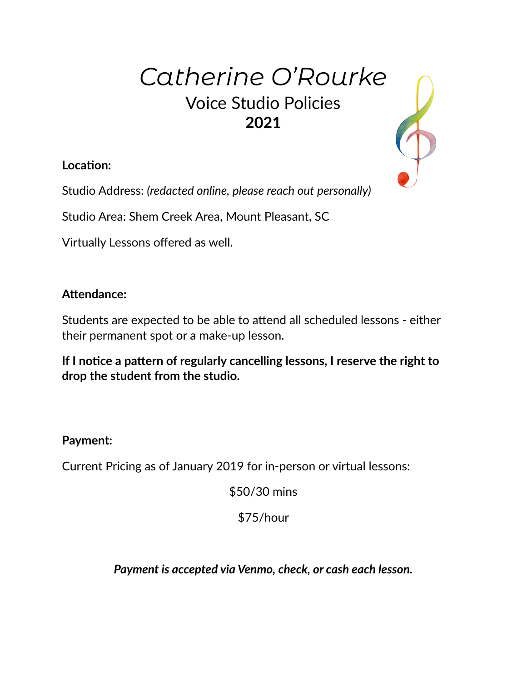# *Catherine O'Rourke* Voice Studio Policies **2021**

\$

**Location:** 

Studio Address: *(redacted online, please reach out personally)*

Studio Area: Shem Creek Area, Mount Pleasant, SC

Virtually Lessons offered as well.

# **Attendance:**

Students are expected to be able to attend all scheduled lessons - either their permanent spot or a make-up lesson.

**If I notice a pattern of regularly cancelling lessons, I reserve the right to drop the student from the studio.**

## **Payment:**

Current Pricing as of January 2019 for in-person or virtual lessons:

\$50/30 mins

\$75/hour

*Payment is accepted via Venmo, check, or cash each lesson.*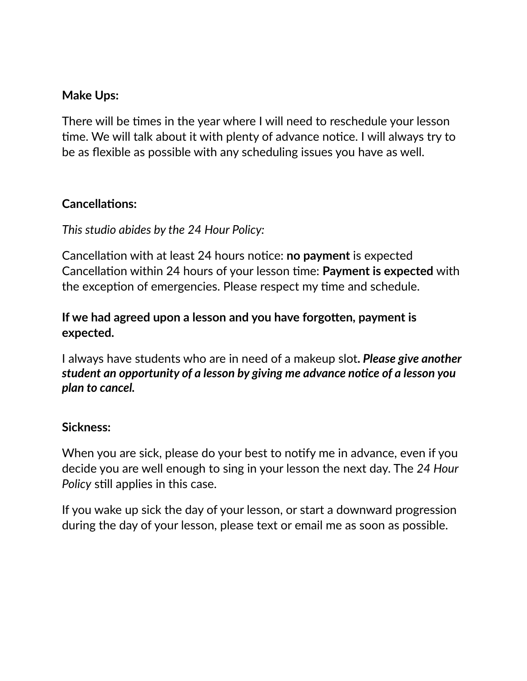## **Make Ups:**

There will be times in the year where I will need to reschedule your lesson time. We will talk about it with plenty of advance notice. I will always try to be as flexible as possible with any scheduling issues you have as well.

### **Cancellations:**

## *This studio abides by the 24 Hour Policy:*

Cancellation with at least 24 hours notice: **no payment** is expected Cancellation within 24 hours of your lesson time: **Payment is expected** with the exception of emergencies. Please respect my time and schedule.

## **If we had agreed upon a lesson and you have forgotten, payment is expected.**

I always have students who are in need of a makeup slot**.** *Please give another student an opportunity of a lesson by giving me advance notice of a lesson you plan to cancel.* 

#### **Sickness:**

When you are sick, please do your best to notify me in advance, even if you decide you are well enough to sing in your lesson the next day. The *24 Hour Policy* still applies in this case.

If you wake up sick the day of your lesson, or start a downward progression during the day of your lesson, please text or email me as soon as possible.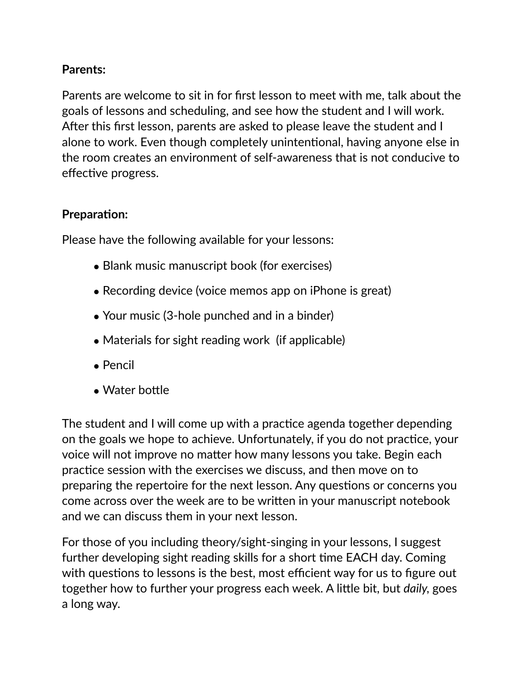# **Parents:**

Parents are welcome to sit in for first lesson to meet with me, talk about the goals of lessons and scheduling, and see how the student and I will work. After this first lesson, parents are asked to please leave the student and I alone to work. Even though completely unintentional, having anyone else in the room creates an environment of self-awareness that is not conducive to effective progress.

## **Preparation:**

Please have the following available for your lessons:

- Blank music manuscript book (for exercises)
- Recording device (voice memos app on iPhone is great)
- Your music (3-hole punched and in a binder)
- Materials for sight reading work (if applicable)
- Pencil
- Water bottle

The student and I will come up with a practice agenda together depending on the goals we hope to achieve. Unfortunately, if you do not practice, your voice will not improve no matter how many lessons you take. Begin each practice session with the exercises we discuss, and then move on to preparing the repertoire for the next lesson. Any questions or concerns you come across over the week are to be written in your manuscript notebook and we can discuss them in your next lesson.

For those of you including theory/sight-singing in your lessons, I suggest further developing sight reading skills for a short time EACH day. Coming with questions to lessons is the best, most efficient way for us to figure out together how to further your progress each week. A little bit, but *daily,* goes a long way.